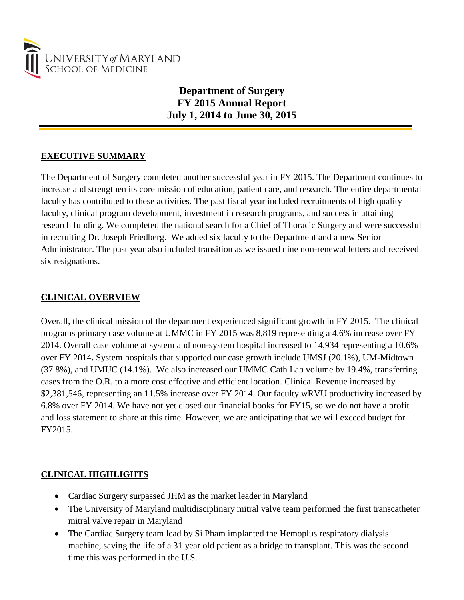

# **Department of Surgery FY 2015 Annual Report July 1, 2014 to June 30, 2015**

# **EXECUTIVE SUMMARY**

The Department of Surgery completed another successful year in FY 2015. The Department continues to increase and strengthen its core mission of education, patient care, and research. The entire departmental faculty has contributed to these activities. The past fiscal year included recruitments of high quality faculty, clinical program development, investment in research programs, and success in attaining research funding. We completed the national search for a Chief of Thoracic Surgery and were successful in recruiting Dr. Joseph Friedberg. We added six faculty to the Department and a new Senior Administrator. The past year also included transition as we issued nine non-renewal letters and received six resignations.

# **CLINICAL OVERVIEW**

Overall, the clinical mission of the department experienced significant growth in FY 2015. The clinical programs primary case volume at UMMC in FY 2015 was 8,819 representing a 4.6% increase over FY 2014. Overall case volume at system and non-system hospital increased to 14,934 representing a 10.6% over FY 2014**.** System hospitals that supported our case growth include UMSJ (20.1%), UM-Midtown (37.8%), and UMUC (14.1%). We also increased our UMMC Cath Lab volume by 19.4%, transferring cases from the O.R. to a more cost effective and efficient location. Clinical Revenue increased by \$2,381,546, representing an 11.5% increase over FY 2014. Our faculty wRVU productivity increased by 6.8% over FY 2014. We have not yet closed our financial books for FY15, so we do not have a profit and loss statement to share at this time. However, we are anticipating that we will exceed budget for FY2015.

# **CLINICAL HIGHLIGHTS**

- Cardiac Surgery surpassed JHM as the market leader in Maryland
- The University of Maryland multidisciplinary mitral valve team performed the first transcatheter mitral valve repair in Maryland
- The Cardiac Surgery team lead by Si Pham implanted the Hemoplus respiratory dialysis machine, saving the life of a 31 year old patient as a bridge to transplant. This was the second time this was performed in the U.S.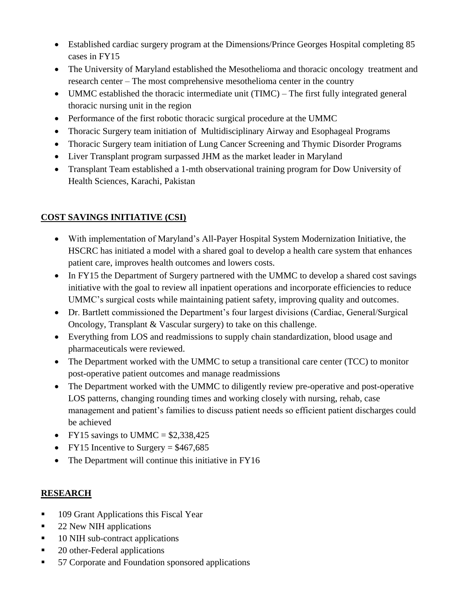- Established cardiac surgery program at the Dimensions/Prince Georges Hospital completing 85 cases in FY15
- The University of Maryland established the Mesothelioma and thoracic oncology treatment and research center – The most comprehensive mesothelioma center in the country
- UMMC established the thoracic intermediate unit (TIMC) The first fully integrated general thoracic nursing unit in the region
- Performance of the first robotic thoracic surgical procedure at the UMMC
- Thoracic Surgery team initiation of Multidisciplinary Airway and Esophageal Programs
- Thoracic Surgery team initiation of Lung Cancer Screening and Thymic Disorder Programs
- Liver Transplant program surpassed JHM as the market leader in Maryland
- Transplant Team established a 1-mth observational training program for Dow University of Health Sciences, Karachi, Pakistan

# **COST SAVINGS INITIATIVE (CSI)**

- With implementation of Maryland's All-Payer Hospital System Modernization Initiative, the HSCRC has initiated a model with a shared goal to develop a health care system that enhances patient care, improves health outcomes and lowers costs.
- In FY15 the Department of Surgery partnered with the UMMC to develop a shared cost savings initiative with the goal to review all inpatient operations and incorporate efficiencies to reduce UMMC's surgical costs while maintaining patient safety, improving quality and outcomes.
- Dr. Bartlett commissioned the Department's four largest divisions (Cardiac, General/Surgical Oncology, Transplant & Vascular surgery) to take on this challenge.
- Everything from LOS and readmissions to supply chain standardization, blood usage and pharmaceuticals were reviewed.
- The Department worked with the UMMC to setup a transitional care center (TCC) to monitor post-operative patient outcomes and manage readmissions
- The Department worked with the UMMC to diligently review pre-operative and post-operative LOS patterns, changing rounding times and working closely with nursing, rehab, case management and patient's families to discuss patient needs so efficient patient discharges could be achieved
- FY15 savings to UMMC =  $$2,338,425$
- FY15 Incentive to Surgery =  $$467,685$
- The Department will continue this initiative in FY16

# **RESEARCH**

- 109 Grant Applications this Fiscal Year
- 22 New NIH applications
- 10 NIH sub-contract applications
- 20 other-Federal applications
- 57 Corporate and Foundation sponsored applications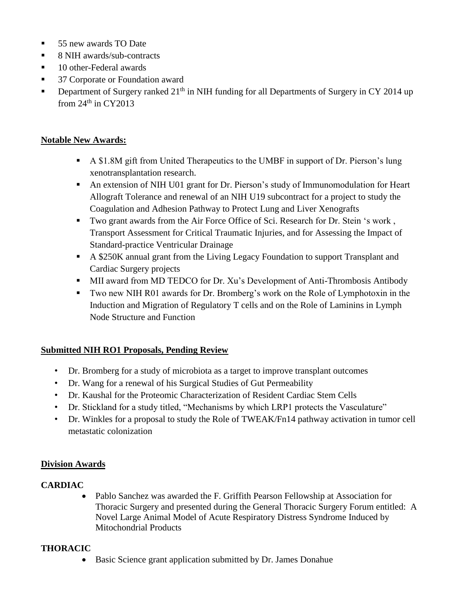- 55 new awards TO Date
- 8 NIH awards/sub-contracts
- 10 other-Federal awards
- 37 Corporate or Foundation award
- **•** Department of Surgery ranked  $21<sup>th</sup>$  in NIH funding for all Departments of Surgery in CY 2014 up from  $24<sup>th</sup>$  in CY2013

### **Notable New Awards:**

- A \$1.8M gift from United Therapeutics to the UMBF in support of Dr. Pierson's lung xenotransplantation research.
- An extension of NIH U01 grant for Dr. Pierson's study of Immunomodulation for Heart Allograft Tolerance and renewal of an NIH U19 subcontract for a project to study the Coagulation and Adhesion Pathway to Protect Lung and Liver Xenografts
- Two grant awards from the Air Force Office of Sci. Research for Dr. Stein 's work, Transport Assessment for Critical Traumatic Injuries, and for Assessing the Impact of Standard-practice Ventricular Drainage
- A \$250K annual grant from the Living Legacy Foundation to support Transplant and Cardiac Surgery projects
- MII award from MD TEDCO for Dr. Xu's Development of Anti-Thrombosis Antibody
- Two new NIH R01 awards for Dr. Bromberg's work on the Role of Lymphotoxin in the Induction and Migration of Regulatory T cells and on the Role of Laminins in Lymph Node Structure and Function

### **Submitted NIH RO1 Proposals, Pending Review**

- Dr. Bromberg for a study of microbiota as a target to improve transplant outcomes
- Dr. Wang for a renewal of his Surgical Studies of Gut Permeability
- Dr. Kaushal for the Proteomic Characterization of Resident Cardiac Stem Cells
- Dr. Stickland for a study titled, "Mechanisms by which LRP1 protects the Vasculature"
- Dr. Winkles for a proposal to study the Role of TWEAK/Fn14 pathway activation in tumor cell metastatic colonization

### **Division Awards**

### **CARDIAC**

• Pablo Sanchez was awarded the F. Griffith Pearson Fellowship at Association for Thoracic Surgery and presented during the General Thoracic Surgery Forum entitled: A Novel Large Animal Model of Acute Respiratory Distress Syndrome Induced by Mitochondrial Products

### **THORACIC**

• Basic Science grant application submitted by Dr. James Donahue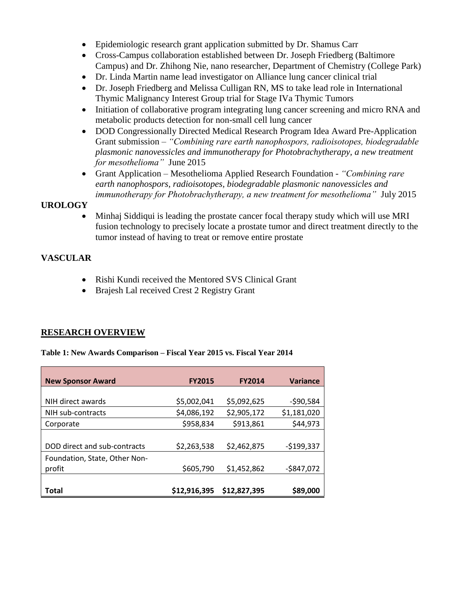- Epidemiologic research grant application submitted by Dr. Shamus Carr
- Cross-Campus collaboration established between Dr. Joseph Friedberg (Baltimore Campus) and Dr. Zhihong Nie, nano researcher, Department of Chemistry (College Park)
- Dr. Linda Martin name lead investigator on Alliance lung cancer clinical trial
- Dr. Joseph Friedberg and Melissa Culligan RN, MS to take lead role in International Thymic Malignancy Interest Group trial for Stage IVa Thymic Tumors
- Initiation of collaborative program integrating lung cancer screening and micro RNA and metabolic products detection for non-small cell lung cancer
- DOD Congressionally Directed Medical Research Program Idea Award Pre-Application Grant submission – *"Combining rare earth nanophospors, radioisotopes, biodegradable plasmonic nanovessicles and immunotherapy for Photobrachytherapy, a new treatment for mesothelioma"* June 2015
- Grant Application Mesothelioma Applied Research Foundation *"Combining rare earth nanophospors, radioisotopes, biodegradable plasmonic nanovessicles and immunotherapy for Photobrachytherapy, a new treatment for mesothelioma"* July 2015

### **UROLOGY**

• Minhaj Siddiqui is leading the prostate cancer focal therapy study which will use MRI fusion technology to precisely locate a prostate tumor and direct treatment directly to the tumor instead of having to treat or remove entire prostate

### **VASCULAR**

- Rishi Kundi received the Mentored SVS Clinical Grant
- Brajesh Lal received Crest 2 Registry Grant

### **RESEARCH OVERVIEW**

#### **Table 1: New Awards Comparison – Fiscal Year 2015 vs. Fiscal Year 2014**

| <b>New Sponsor Award</b>      | <b>FY2015</b> | <b>FY2014</b> | <b>Variance</b> |
|-------------------------------|---------------|---------------|-----------------|
|                               |               |               |                 |
| NIH direct awards             | \$5,002,041   | \$5,092,625   | $-590,584$      |
| NIH sub-contracts             | \$4,086,192   | \$2,905,172   | \$1,181,020     |
| Corporate                     | \$958,834     | \$913,861     | \$44,973        |
|                               |               |               |                 |
| DOD direct and sub-contracts  | \$2,263,538   | \$2,462,875   | $-$199,337$     |
| Foundation, State, Other Non- |               |               |                 |
| profit                        | \$605,790     | \$1,452,862   | $-$847,072$     |
|                               |               |               |                 |
| Total                         | \$12,916,395  | \$12,827,395  | \$89,000        |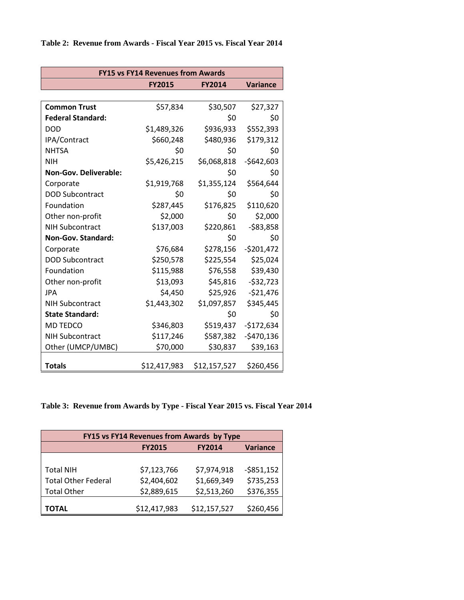| <b>FY15 vs FY14 Revenues from Awards</b> |                                                   |              |             |  |  |
|------------------------------------------|---------------------------------------------------|--------------|-------------|--|--|
|                                          | <b>FY2015</b><br><b>Variance</b><br><b>FY2014</b> |              |             |  |  |
|                                          |                                                   |              |             |  |  |
| <b>Common Trust</b>                      | \$57,834                                          | \$30,507     | \$27,327    |  |  |
| <b>Federal Standard:</b>                 |                                                   | \$0          | \$0         |  |  |
| <b>DOD</b>                               | \$1,489,326                                       | \$936,933    | \$552,393   |  |  |
| IPA/Contract                             | \$660,248                                         | \$480,936    | \$179,312   |  |  |
| <b>NHTSA</b>                             | \$0                                               | \$0          | \$0         |  |  |
| <b>NIH</b>                               | \$5,426,215                                       | \$6,068,818  | $-$642,603$ |  |  |
| <b>Non-Gov. Deliverable:</b>             |                                                   | \$0          | \$0         |  |  |
| Corporate                                | \$1,919,768                                       | \$1,355,124  | \$564,644   |  |  |
| <b>DOD Subcontract</b>                   | \$0                                               | \$0          | \$0         |  |  |
| Foundation                               | \$287,445                                         | \$176,825    | \$110,620   |  |  |
| Other non-profit                         | \$2,000                                           | \$0          | \$2,000     |  |  |
| <b>NIH Subcontract</b>                   | \$137,003                                         | \$220,861    | $-583,858$  |  |  |
| Non-Gov. Standard:                       |                                                   | \$0          | \$0         |  |  |
| Corporate                                | \$76,684                                          | \$278,156    | $-5201,472$ |  |  |
| <b>DOD Subcontract</b>                   | \$250,578                                         | \$225,554    | \$25,024    |  |  |
| Foundation                               | \$115,988                                         | \$76,558     | \$39,430    |  |  |
| Other non-profit                         | \$13,093                                          | \$45,816     | $-532,723$  |  |  |
| <b>JPA</b>                               | \$4,450                                           | \$25,926     | $-521,476$  |  |  |
| <b>NIH Subcontract</b>                   | \$1,443,302                                       | \$1,097,857  | \$345,445   |  |  |
| <b>State Standard:</b>                   |                                                   | \$0          | \$0         |  |  |
| MD TEDCO                                 | \$346,803                                         | \$519,437    | $-$172,634$ |  |  |
| <b>NIH Subcontract</b>                   | \$117,246                                         | \$587,382    | $-$470,136$ |  |  |
| Other (UMCP/UMBC)                        | \$70,000                                          | \$30,837     | \$39,163    |  |  |
| <b>Totals</b>                            | \$12,417,983                                      | \$12,157,527 | \$260,456   |  |  |

**Table 3: Revenue from Awards by Type - Fiscal Year 2015 vs. Fiscal Year 2014**

| FY15 vs FY14 Revenues from Awards by Type |                                                   |              |             |  |
|-------------------------------------------|---------------------------------------------------|--------------|-------------|--|
|                                           | <b>Variance</b><br><b>FY2015</b><br><b>FY2014</b> |              |             |  |
|                                           |                                                   |              |             |  |
| <b>Total NIH</b>                          | \$7,123,766                                       | \$7,974,918  | $-5851,152$ |  |
| <b>Total Other Federal</b>                | \$2,404,602                                       | \$1,669,349  | \$735,253   |  |
| <b>Total Other</b>                        | \$2,889,615                                       | \$2,513,260  | \$376,355   |  |
|                                           | \$12,417,983                                      | \$12,157,527 | \$260,456   |  |
| TOTAL                                     |                                                   |              |             |  |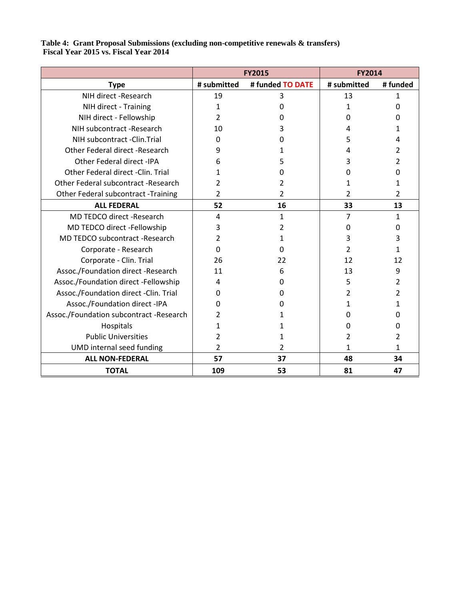#### **Table 4: Grant Proposal Submissions (excluding non-competitive renewals & transfers) Fiscal Year 2015 vs. Fiscal Year 2014**

|                                         | <b>FY2015</b>  |                  | FY2014      |         |
|-----------------------------------------|----------------|------------------|-------------|---------|
| <b>Type</b>                             | # submitted    | # funded TO DATE | # submitted | #funded |
| NIH direct -Research                    | 19             | 3                | 13          | 1       |
| NIH direct - Training                   | 1              | 0                | 1           | 0       |
| NIH direct - Fellowship                 | 2              | 0                | O           | O       |
| NIH subcontract -Research               | 10             | 3                | 4           |         |
| NIH subcontract -Clin. Trial            | 0              | 0                | 5           | 4       |
| Other Federal direct -Research          | 9              | 1                | 4           | 2       |
| Other Federal direct -IPA               | 6              | 5                | 3           | 2       |
| Other Federal direct - Clin. Trial      | 1              | 0                | O           | O       |
| Other Federal subcontract -Research     | 2              | 2                | 1           | 1       |
| Other Federal subcontract -Training     | 2              | 2                | 2           | 2       |
| <b>ALL FEDERAL</b>                      | 52             | 16               | 33          | 13      |
| <b>MD TEDCO direct -Research</b>        | 4              | $\mathbf{1}$     | 7           | 1       |
| MD TEDCO direct -Fellowship             | 3              | 2                | 0           | 0       |
| MD TEDCO subcontract -Research          | 2              | 1                | 3           | 3       |
| Corporate - Research                    | 0              | 0                |             | 1       |
| Corporate - Clin. Trial                 | 26             | 22               | 12          | 12      |
| Assoc./Foundation direct -Research      | 11             | 6                | 13          | 9       |
| Assoc./Foundation direct -Fellowship    | 4              | 0                | 5           | 2       |
| Assoc./Foundation direct -Clin. Trial   | 0              | 0                | 2           | 2       |
| Assoc./Foundation direct -IPA           | ŋ              | O                | 1           | 1       |
| Assoc./Foundation subcontract -Research | 2              | 1                | 0           | 0       |
| Hospitals                               | 1              | 1                | n           | 0       |
| <b>Public Universities</b>              | 2              | 1                | 2           | 2       |
| UMD internal seed funding               | $\overline{2}$ | $\mathfrak{p}$   | 1           | 1       |
| <b>ALL NON-FEDERAL</b>                  | 57             | 37               | 48          | 34      |
| <b>TOTAL</b>                            | 109            | 53               | 81          | 47      |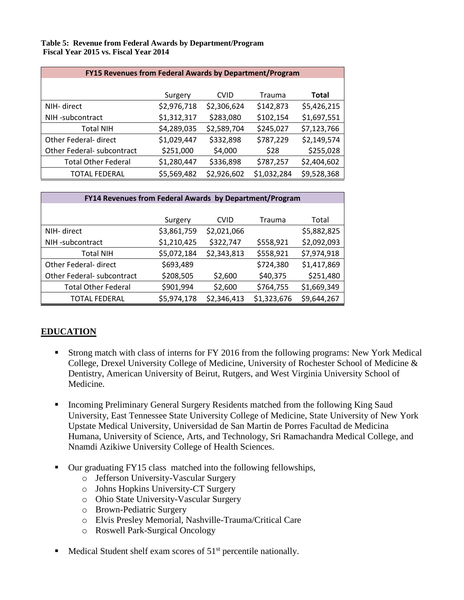#### **Table 5: Revenue from Federal Awards by Department/Program Fiscal Year 2015 vs. Fiscal Year 2014**

| <b>FY15 Revenues from Federal Awards by Department/Program</b> |             |             |             |              |
|----------------------------------------------------------------|-------------|-------------|-------------|--------------|
|                                                                |             |             |             |              |
|                                                                | Surgery     | <b>CVID</b> | Trauma      | <b>Total</b> |
| NIH- direct                                                    | \$2,976,718 | \$2,306,624 | \$142,873   | \$5,426,215  |
| NIH-subcontract                                                | \$1,312,317 | \$283,080   | \$102,154   | \$1,697,551  |
| <b>Total NIH</b>                                               | \$4,289,035 | \$2,589,704 | \$245,027   | \$7,123,766  |
| Other Federal- direct                                          | \$1,029,447 | \$332,898   | \$787,229   | \$2,149,574  |
| Other Federal- subcontract                                     | \$251,000   | \$4,000     | \$28        | \$255,028    |
| <b>Total Other Federal</b>                                     | \$1,280,447 | \$336,898   | \$787,257   | \$2,404,602  |
| <b>TOTAL FEDERAL</b>                                           | \$5,569,482 | \$2,926,602 | \$1,032,284 | \$9,528,368  |

| FY14 Revenues from Federal Awards by Department/Program |             |             |             |             |
|---------------------------------------------------------|-------------|-------------|-------------|-------------|
|                                                         |             |             |             |             |
|                                                         | Surgery     | <b>CVID</b> | Trauma      | Total       |
| NIH- direct                                             | \$3,861,759 | \$2,021,066 |             | \$5,882,825 |
| NIH-subcontract                                         | \$1,210,425 | \$322,747   | \$558,921   | \$2,092,093 |
| <b>Total NIH</b>                                        | \$5,072,184 | \$2,343,813 | \$558,921   | \$7,974,918 |
| Other Federal- direct                                   | \$693,489   |             | \$724,380   | \$1,417,869 |
| Other Federal- subcontract                              | \$208,505   | \$2,600     | \$40,375    | \$251,480   |
| <b>Total Other Federal</b>                              | \$901,994   | \$2,600     | \$764,755   | \$1,669,349 |
| TOTAL FEDERAL                                           | \$5,974,178 | \$2,346,413 | \$1,323,676 | \$9,644,267 |

# **EDUCATION**

- Strong match with class of interns for FY 2016 from the following programs: New York Medical College, Drexel University College of Medicine, University of Rochester School of Medicine & Dentistry, American University of Beirut, Rutgers, and West Virginia University School of Medicine.
- **Incoming Preliminary General Surgery Residents matched from the following King Saud** University, East Tennessee State University College of Medicine, State University of New York Upstate Medical University, Universidad de San Martin de Porres Facultad de Medicina Humana, University of Science, Arts, and Technology, Sri Ramachandra Medical College, and Nnamdi Azikiwe University College of Health Sciences.
- Our graduating FY15 class matched into the following fellowships,
	- o Jefferson University-Vascular Surgery
	- o Johns Hopkins University-CT Surgery
	- o Ohio State University-Vascular Surgery
	- o Brown-Pediatric Surgery
	- o Elvis Presley Memorial, Nashville-Trauma/Critical Care
	- o Roswell Park-Surgical Oncology
- $\blacksquare$  Medical Student shelf exam scores of 51<sup>st</sup> percentile nationally.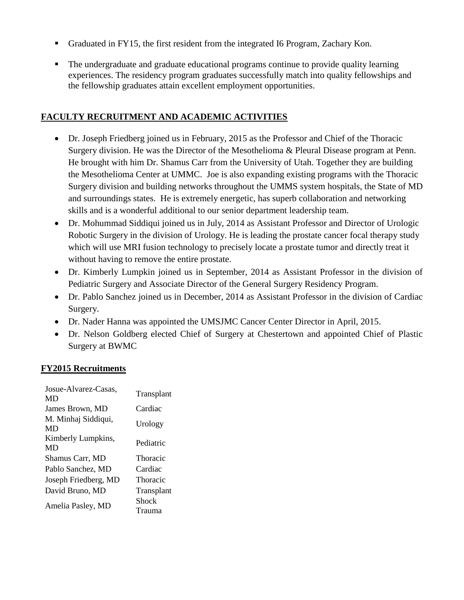- Graduated in FY15, the first resident from the integrated I6 Program, Zachary Kon.
- The undergraduate and graduate educational programs continue to provide quality learning experiences. The residency program graduates successfully match into quality fellowships and the fellowship graduates attain excellent employment opportunities.

### **FACULTY RECRUITMENT AND ACADEMIC ACTIVITIES**

- Dr. Joseph Friedberg joined us in February, 2015 as the Professor and Chief of the Thoracic Surgery division. He was the Director of the Mesothelioma & Pleural Disease program at Penn. He brought with him Dr. Shamus Carr from the University of Utah. Together they are building the Mesothelioma Center at UMMC. Joe is also expanding existing programs with the Thoracic Surgery division and building networks throughout the UMMS system hospitals, the State of MD and surroundings states. He is extremely energetic, has superb collaboration and networking skills and is a wonderful additional to our senior department leadership team.
- Dr. Mohummad Siddiqui joined us in July, 2014 as Assistant Professor and Director of Urologic Robotic Surgery in the division of Urology. He is leading the prostate cancer focal therapy study which will use MRI fusion technology to precisely locate a prostate tumor and directly treat it without having to remove the entire prostate.
- Dr. Kimberly Lumpkin joined us in September, 2014 as Assistant Professor in the division of Pediatric Surgery and Associate Director of the General Surgery Residency Program.
- Dr. Pablo Sanchez joined us in December, 2014 as Assistant Professor in the division of Cardiac Surgery.
- Dr. Nader Hanna was appointed the UMSJMC Cancer Center Director in April, 2015.
- Dr. Nelson Goldberg elected Chief of Surgery at Chestertown and appointed Chief of Plastic Surgery at BWMC

### **FY2015 Recruitments**

| Josue-Alvarez-Casas,<br>MD | Transplant |
|----------------------------|------------|
| James Brown, MD            | Cardiac    |
| M. Minhaj Siddiqui,<br>MD  | Urology    |
| Kimberly Lumpkins,<br>MD   | Pediatric  |
| Shamus Carr, MD            | Thoracic   |
| Pablo Sanchez, MD          | Cardiac    |
| Joseph Friedberg, MD       | Thoracic   |
| David Bruno, MD            | Transplant |
| Amelia Pasley, MD          | Shock      |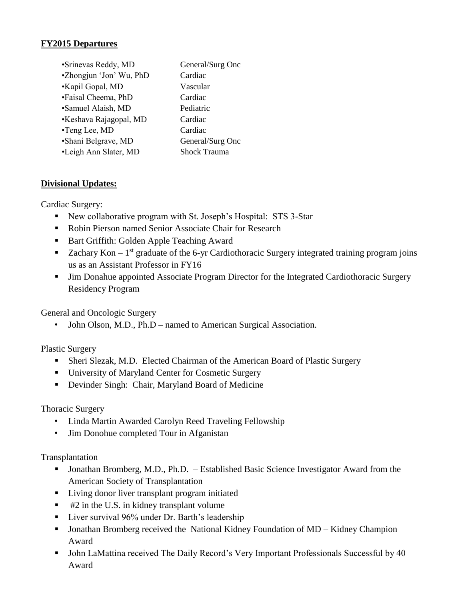### **FY2015 Departures**

| •Srinevas Reddy, MD     | General/Surg Onc    |
|-------------------------|---------------------|
| •Zhongjun 'Jon' Wu, PhD | Cardiac             |
| •Kapil Gopal, MD        | Vascular            |
| •Faisal Cheema, PhD     | Cardiac             |
| •Samuel Alaish, MD      | Pediatric           |
| •Keshava Rajagopal, MD  | Cardiac             |
| •Teng Lee, MD           | Cardiac             |
| •Shani Belgrave, MD     | General/Surg Onc    |
| •Leigh Ann Slater, MD   | <b>Shock Trauma</b> |

### **Divisional Updates:**

Cardiac Surgery:

- New collaborative program with St. Joseph's Hospital: STS 3-Star
- Robin Pierson named Senior Associate Chair for Research
- Bart Griffith: Golden Apple Teaching Award
- E Zachary Kon  $1<sup>st</sup>$  graduate of the 6-yr Cardiothoracic Surgery integrated training program joins us as an Assistant Professor in FY16
- Jim Donahue appointed Associate Program Director for the Integrated Cardiothoracic Surgery Residency Program

General and Oncologic Surgery

• John Olson, M.D., Ph.D – named to American Surgical Association.

Plastic Surgery

- **Exercise Sheri Slezak, M.D. Elected Chairman of the American Board of Plastic Surgery**
- University of Maryland Center for Cosmetic Surgery
- Devinder Singh: Chair, Maryland Board of Medicine

### Thoracic Surgery

- Linda Martin Awarded Carolyn Reed Traveling Fellowship
- Jim Donohue completed Tour in Afganistan

### Transplantation

- Jonathan Bromberg, M.D., Ph.D. Established Basic Science Investigator Award from the American Society of Transplantation
- Living donor liver transplant program initiated
- $\blacksquare$  #2 in the U.S. in kidney transplant volume
- Liver survival 96% under Dr. Barth's leadership
- Jonathan Bromberg received the National Kidney Foundation of MD Kidney Champion Award
- John LaMattina received The Daily Record's Very Important Professionals Successful by 40 Award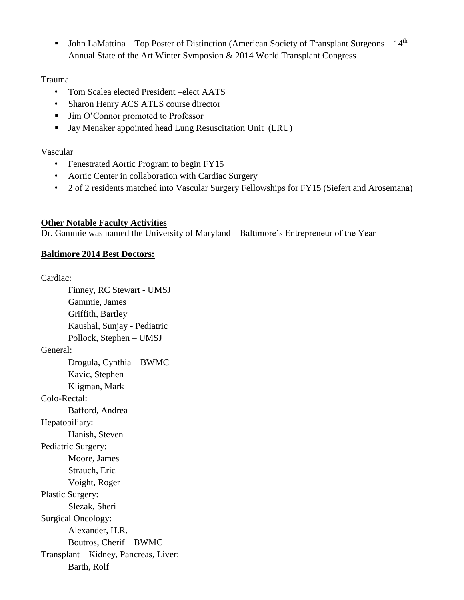**•** John LaMattina – Top Poster of Distinction (American Society of Transplant Surgeons –  $14<sup>th</sup>$ Annual State of the Art Winter Symposion & 2014 World Transplant Congress

### Trauma

- Tom Scalea elected President –elect AATS
- Sharon Henry ACS ATLS course director
- Jim O'Connor promoted to Professor
- Jay Menaker appointed head Lung Resuscitation Unit (LRU)

### Vascular

- Fenestrated Aortic Program to begin FY15
- Aortic Center in collaboration with Cardiac Surgery
- 2 of 2 residents matched into Vascular Surgery Fellowships for FY15 (Siefert and Arosemana)

### **Other Notable Faculty Activities**

Dr. Gammie was named the University of Maryland – Baltimore's Entrepreneur of the Year

### **Baltimore 2014 Best Doctors:**

Cardiac:

Finney, RC Stewart - UMSJ Gammie, James Griffith, Bartley Kaushal, Sunjay - Pediatric Pollock, Stephen – UMSJ General: Drogula, Cynthia – BWMC Kavic, Stephen Kligman, Mark Colo-Rectal: Bafford, Andrea Hepatobiliary: Hanish, Steven Pediatric Surgery: Moore, James Strauch, Eric Voight, Roger Plastic Surgery: Slezak, Sheri Surgical Oncology: Alexander, H.R. Boutros, Cherif – BWMC Transplant – Kidney, Pancreas, Liver: Barth, Rolf